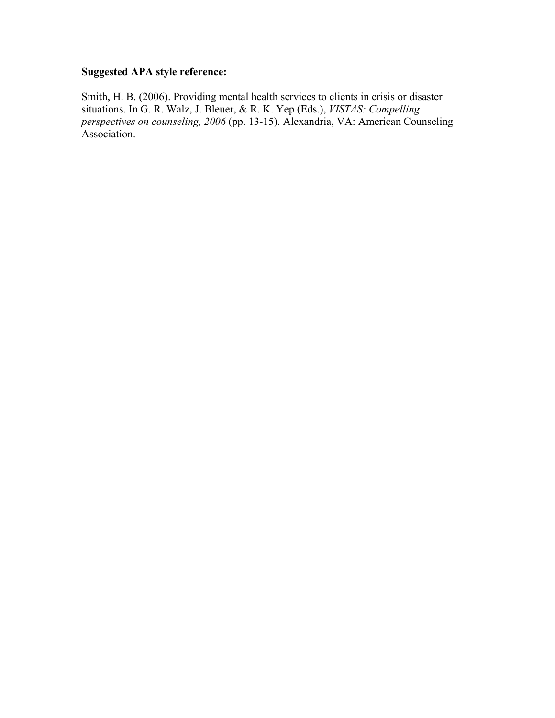## **Suggested APA style reference:**

Smith, H. B. (2006). Providing mental health services to clients in crisis or disaster situations. In G. R. Walz, J. Bleuer, & R. K. Yep (Eds.), *VISTAS: Compelling perspectives on counseling, 2006* (pp. 13-15). Alexandria, VA: American Counseling Association.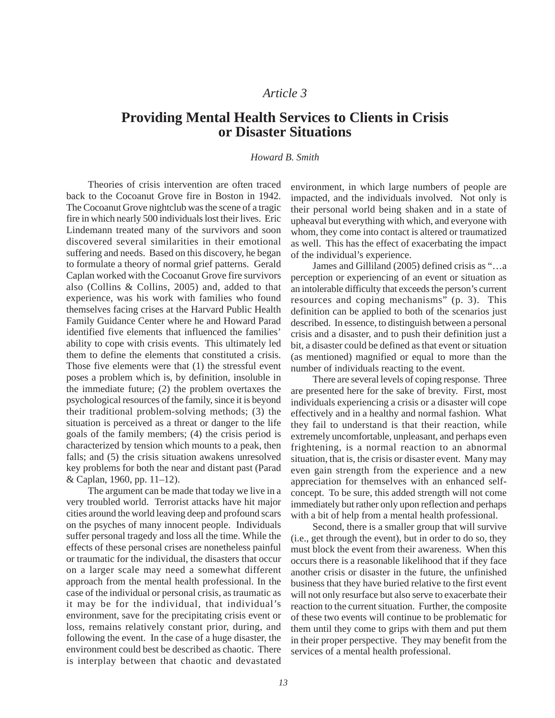### *Article 3*

# **Providing Mental Health Services to Clients in Crisis or Disaster Situations**

### *Howard B. Smith*

Theories of crisis intervention are often traced back to the Cocoanut Grove fire in Boston in 1942. The Cocoanut Grove nightclub was the scene of a tragic fire in which nearly 500 individuals lost their lives. Eric Lindemann treated many of the survivors and soon discovered several similarities in their emotional suffering and needs. Based on this discovery, he began to formulate a theory of normal grief patterns. Gerald Caplan worked with the Cocoanut Grove fire survivors also (Collins & Collins, 2005) and, added to that experience, was his work with families who found themselves facing crises at the Harvard Public Health Family Guidance Center where he and Howard Parad identified five elements that influenced the families' ability to cope with crisis events. This ultimately led them to define the elements that constituted a crisis. Those five elements were that (1) the stressful event poses a problem which is, by definition, insoluble in the immediate future; (2) the problem overtaxes the psychological resources of the family, since it is beyond their traditional problem-solving methods; (3) the situation is perceived as a threat or danger to the life goals of the family members; (4) the crisis period is characterized by tension which mounts to a peak, then falls; and (5) the crisis situation awakens unresolved key problems for both the near and distant past (Parad & Caplan, 1960, pp. 11–12).

The argument can be made that today we live in a very troubled world. Terrorist attacks have hit major cities around the world leaving deep and profound scars on the psyches of many innocent people. Individuals suffer personal tragedy and loss all the time. While the effects of these personal crises are nonetheless painful or traumatic for the individual, the disasters that occur on a larger scale may need a somewhat different approach from the mental health professional. In the case of the individual or personal crisis, as traumatic as it may be for the individual, that individual's environment, save for the precipitating crisis event or loss, remains relatively constant prior, during, and following the event. In the case of a huge disaster, the environment could best be described as chaotic. There is interplay between that chaotic and devastated

environment, in which large numbers of people are impacted, and the individuals involved. Not only is their personal world being shaken and in a state of upheaval but everything with which, and everyone with whom, they come into contact is altered or traumatized as well. This has the effect of exacerbating the impact of the individual's experience.

James and Gilliland (2005) defined crisis as "…a perception or experiencing of an event or situation as an intolerable difficulty that exceeds the person's current resources and coping mechanisms" (p. 3). This definition can be applied to both of the scenarios just described. In essence, to distinguish between a personal crisis and a disaster, and to push their definition just a bit, a disaster could be defined as that event or situation (as mentioned) magnified or equal to more than the number of individuals reacting to the event.

There are several levels of coping response. Three are presented here for the sake of brevity. First, most individuals experiencing a crisis or a disaster will cope effectively and in a healthy and normal fashion. What they fail to understand is that their reaction, while extremely uncomfortable, unpleasant, and perhaps even frightening, is a normal reaction to an abnormal situation, that is, the crisis or disaster event. Many may even gain strength from the experience and a new appreciation for themselves with an enhanced selfconcept. To be sure, this added strength will not come immediately but rather only upon reflection and perhaps with a bit of help from a mental health professional.

Second, there is a smaller group that will survive (i.e., get through the event), but in order to do so, they must block the event from their awareness. When this occurs there is a reasonable likelihood that if they face another crisis or disaster in the future, the unfinished business that they have buried relative to the first event will not only resurface but also serve to exacerbate their reaction to the current situation. Further, the composite of these two events will continue to be problematic for them until they come to grips with them and put them in their proper perspective. They may benefit from the services of a mental health professional.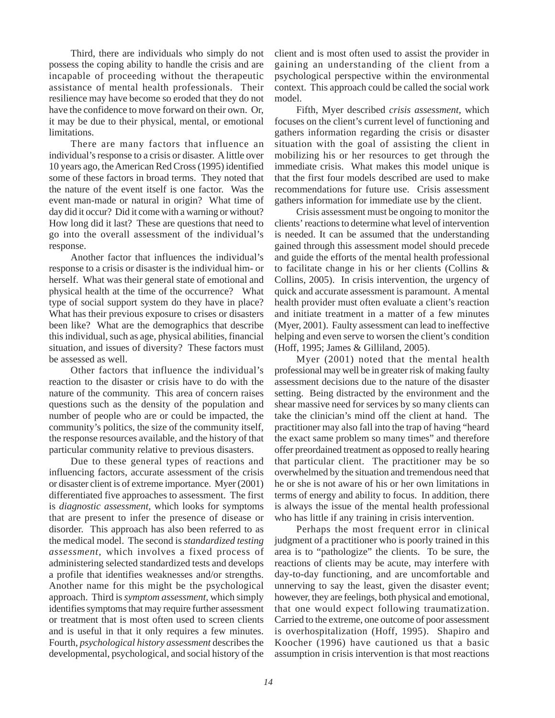Third, there are individuals who simply do not possess the coping ability to handle the crisis and are incapable of proceeding without the therapeutic assistance of mental health professionals. Their resilience may have become so eroded that they do not have the confidence to move forward on their own. Or, it may be due to their physical, mental, or emotional limitations.

There are many factors that influence an individual's response to a crisis or disaster. A little over 10 years ago, the American Red Cross (1995) identified some of these factors in broad terms. They noted that the nature of the event itself is one factor. Was the event man-made or natural in origin? What time of day did it occur? Did it come with a warning or without? How long did it last? These are questions that need to go into the overall assessment of the individual's response.

Another factor that influences the individual's response to a crisis or disaster is the individual him- or herself. What was their general state of emotional and physical health at the time of the occurrence? What type of social support system do they have in place? What has their previous exposure to crises or disasters been like? What are the demographics that describe this individual, such as age, physical abilities, financial situation, and issues of diversity? These factors must be assessed as well.

Other factors that influence the individual's reaction to the disaster or crisis have to do with the nature of the community. This area of concern raises questions such as the density of the population and number of people who are or could be impacted, the community's politics, the size of the community itself, the response resources available, and the history of that particular community relative to previous disasters.

Due to these general types of reactions and influencing factors, accurate assessment of the crisis or disaster client is of extreme importance. Myer (2001) differentiated five approaches to assessment. The first is *diagnostic assessment,* which looks for symptoms that are present to infer the presence of disease or disorder. This approach has also been referred to as the medical model. The second is *standardized testing assessment,* which involves a fixed process of administering selected standardized tests and develops a profile that identifies weaknesses and/or strengths. Another name for this might be the psychological approach. Third is *symptom assessment,* which simply identifies symptoms that may require further assessment or treatment that is most often used to screen clients and is useful in that it only requires a few minutes. Fourth, *psychological history assessment* describes the developmental, psychological, and social history of the client and is most often used to assist the provider in gaining an understanding of the client from a psychological perspective within the environmental context. This approach could be called the social work model.

Fifth, Myer described *crisis assessment,* which focuses on the client's current level of functioning and gathers information regarding the crisis or disaster situation with the goal of assisting the client in mobilizing his or her resources to get through the immediate crisis. What makes this model unique is that the first four models described are used to make recommendations for future use. Crisis assessment gathers information for immediate use by the client.

Crisis assessment must be ongoing to monitor the clients' reactions to determine what level of intervention is needed. It can be assumed that the understanding gained through this assessment model should precede and guide the efforts of the mental health professional to facilitate change in his or her clients (Collins & Collins, 2005). In crisis intervention, the urgency of quick and accurate assessment is paramount. A mental health provider must often evaluate a client's reaction and initiate treatment in a matter of a few minutes (Myer, 2001). Faulty assessment can lead to ineffective helping and even serve to worsen the client's condition (Hoff, 1995; James & Gilliland, 2005).

Myer (2001) noted that the mental health professional may well be in greater risk of making faulty assessment decisions due to the nature of the disaster setting. Being distracted by the environment and the shear massive need for services by so many clients can take the clinician's mind off the client at hand. The practitioner may also fall into the trap of having "heard the exact same problem so many times" and therefore offer preordained treatment as opposed to really hearing that particular client. The practitioner may be so overwhelmed by the situation and tremendous need that he or she is not aware of his or her own limitations in terms of energy and ability to focus. In addition, there is always the issue of the mental health professional who has little if any training in crisis intervention.

Perhaps the most frequent error in clinical judgment of a practitioner who is poorly trained in this area is to "pathologize" the clients. To be sure, the reactions of clients may be acute, may interfere with day-to-day functioning, and are uncomfortable and unnerving to say the least, given the disaster event; however, they are feelings, both physical and emotional, that one would expect following traumatization. Carried to the extreme, one outcome of poor assessment is overhospitalization (Hoff, 1995). Shapiro and Koocher (1996) have cautioned us that a basic assumption in crisis intervention is that most reactions